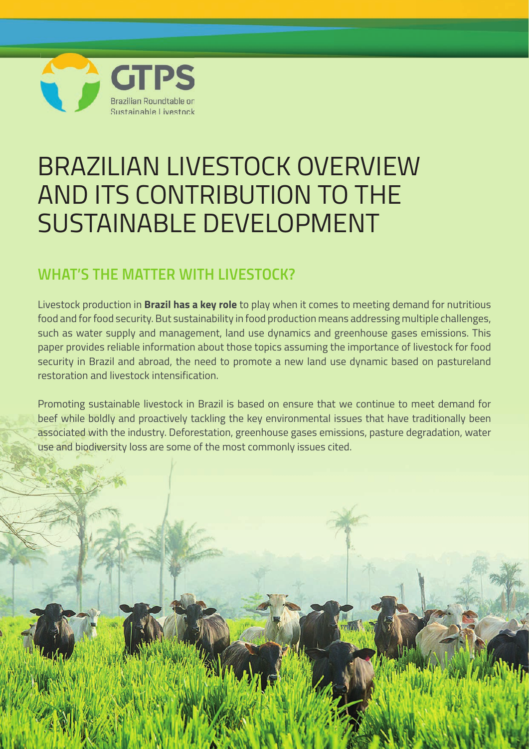

# BRAZILIAN LIVESTOCK OVERVIEW AND ITS CONTRIBUTION TO THE SUSTAINABLE DEVELOPMENT

### **WHAT'S THE MATTER WITH LIVESTOCK?**

Livestock production in **Brazil has a key role** to play when it comes to meeting demand for nutritious food and for food security. But sustainability in food production means addressing multiple challenges, such as water supply and management, land use dynamics and greenhouse gases emissions. This paper provides reliable information about those topics assuming the importance of livestock for food security in Brazil and abroad, the need to promote a new land use dynamic based on pastureland restoration and livestock intensification.

Promoting sustainable livestock in Brazil is based on ensure that we continue to meet demand for beef while boldly and proactively tackling the key environmental issues that have traditionally been associated with the industry. Deforestation, greenhouse gases emissions, pasture degradation, water use and biodiversity loss are some of the most commonly issues cited.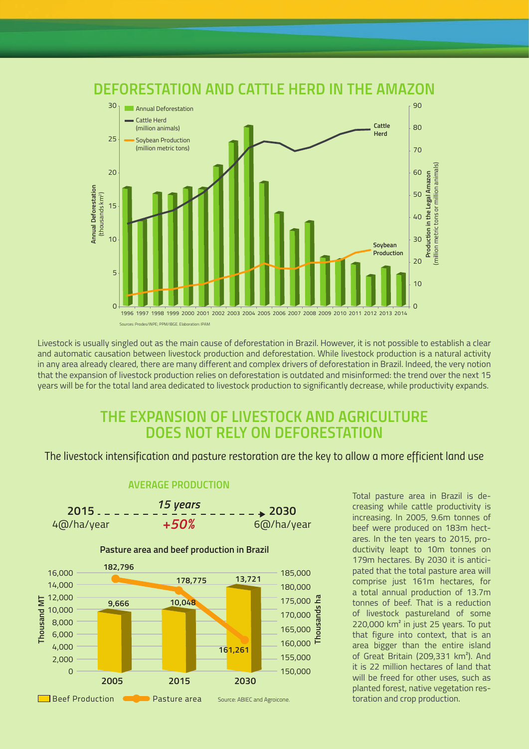

Livestock is usually singled out as the main cause of deforestation in Brazil. However, it is not possible to establish a clear and automatic causation between livestock production and deforestation. While livestock production is a natural activity in any area already cleared, there are many different and complex drivers of deforestation in Brazil. Indeed, the very notion that the expansion of livestock production relies on deforestation is outdated and misinformed: the trend over the next 15 years will be for the total land area dedicated to livestock production to significantly decrease, while productivity expands.

#### **THE EXPANSION OF LIVESTOCK AND AGRICULTURE DOES NOT RELY ON DEFORESTATION**

The livestock intensification and pasture restoration are the key to allow a more efficient land use



#### **AVERAGE PRODUCTION**

Total pasture area in Brazil is decreasing while cattle productivity is increasing. In 2005, 9.6m tonnes of beef were produced on 183m hectares. In the ten years to 2015, productivity leapt to 10m tonnes on 179m hectares. By 2030 it is anticipated that the total pasture area will comprise just 161m hectares, for a total annual production of 13.7m tonnes of beef. That is a reduction of livestock pastureland of some 220,000 km<sup>2</sup> in just 25 years. To put that figure into context, that is an area bigger than the entire island of Great Britain (209,331 km²). And it is 22 million hectares of land that will be freed for other uses, such as planted forest, native vegetation restoration and crop production.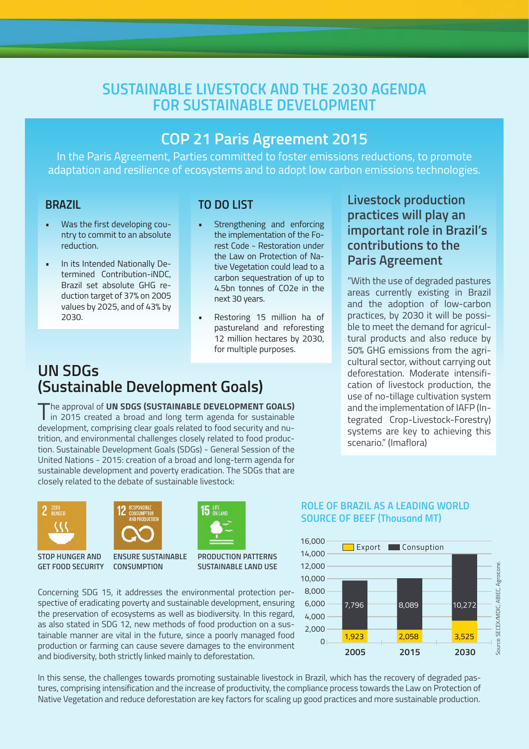### **SUSTAINABLE LIVESTOCK AND THE 2030 AGENDA FOR SUSTAINABLE DEVELOPMENT**

#### **COP 21 Paris Agreement 2015**

In the Paris Agreement, Parties committed to foster emissions reductions, to promote adaptation and resilience of ecosystems and to adopt low carbon emissions technologies.

#### **BRAZIL**

- Was the first developing country to commit to an absolute reduction.
- In its Intended Nationally Determined Contribution-iNDC, Brazil set absolute GHG reduction target of 37% on 2005 values by 2025, and of 43% by 2030.

#### **TO DO LIST**

- Strengthening and enforcing the implementation of the Forest Code - Restoration under the Law on Protection of Native Vegetation could lead to a carbon sequestration of up to 4.5bn tonnes of CO2e in the next 30 years.
- Restoring 15 million ha of pastureland and reforesting 12 million hectares by 2030, for multiple purposes.

#### **UN SDGs (Sustainable Development Goals)**

The approval of **UN SDGS (SUSTAINABLE DEVELOPMENT GOALS)**<br>in 2015 created a broad and long term agenda for sustainable development, comprising clear goals related to food security and nutrition, and environmental challenges closely related to food production. Sustainable Development Goals (SDGs) - General Session of the United Nations - 2015: creation of a broad and long-term agenda for sustainable development and poverty eradication. The SDGs that are closely related to the debate of sustainable livestock:





**GET FOOD SECURITY CONSUMPTION ENSURE SUSTAINABLE** 

**PRODUCTION PATTERNS SUSTAINABLE LAND USE**

Concerning SDG 15, it addresses the environmental protection perspective of eradicating poverty and sustainable development, ensuring the preservation of ecosystems as well as biodiversity. In this regard, as also stated in SDG 12, new methods of food production on a sustainable manner are vital in the future, since a poorly managed food production or farming can cause severe damages to the environment and biodiversity, both strictly linked mainly to deforestation.

In this sense, the challenges towards promoting sustainable livestock in Brazil, which has the recovery of degraded pastures, comprising intensification and the increase of productivity, the compliance process towards the Law on Protection of Native Vegetation and reduce deforestation are key factors for scaling up good practices and more sustainable production.

#### **Livestock production practices will play an important role in Brazil's contributions to the Paris Agreement**

"With the use of degraded pastures areas currently existing in Brazil and the adoption of low-carbon practices, by 2030 it will be possible to meet the demand for agricultural products and also reduce by 50% GHG emissions from the agricultural sector, without carrying out deforestation. Moderate intensification of livestock production, the use of no-tillage cultivation system and the implementation of IAFP (Integrated Crop-Livestock-Forestry) systems are key to achieving this scenario." (Imaflora)



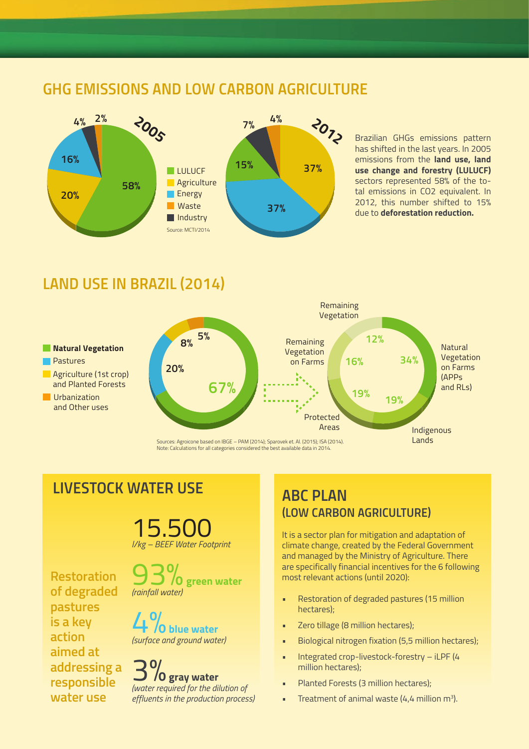### **GHG EMISSIONS AND LOW CARBON AGRICULTURE**



Brazilian GHGs emissions pattern has shifted in the last years. In 2005 emissions from the **land use, land use change and forestry (LULUCF)**  sectors represented 58% of the total emissions in CO2 equivalent. In 2012, this number shifted to 15% due to **deforestation reduction.**

#### **LAND USE IN BRAZIL (2014)**



Note: Calculations for all categories considered the best available data in 2014.

### **LIVESTOCK WATER USE**

15.500 *l/kg – BEEF Water Footprint*

**Restoration of degraded pastures is a key action aimed at addressing a responsible water use**

93%**green water** *(rainfall water)*

4%**blue water** *(surface and ground water)*

## **10 gray water**

*(water required for the dilution of effluents in the production process)*

### **ABC PLAN (LOW CARBON AGRICULTURE)**

It is a sector plan for mitigation and adaptation of climate change, created by the Federal Government and managed by the Ministry of Agriculture. There are specifically financial incentives for the 6 following most relevant actions (until 2020):

- Restoration of degraded pastures (15 million hectares);
- Zero tillage (8 million hectares);
- Biological nitrogen fixation (5,5 million hectares);
- Integrated crop-livestock-forestry iLPF (4 million hectares);
- Planted Forests (3 million hectares);
- **•** Treatment of animal waste  $(4, 4$  million m<sup>3</sup>).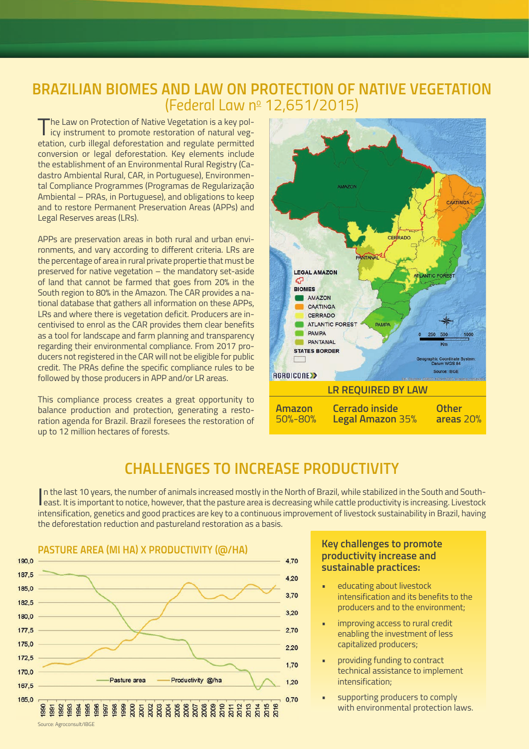#### *BRAZILIAN BIOMES AND LAW ON PROTECTION OF NATIVE VEGETATION (Federal Law no 12,651/2015)*

The Law on Protection of Native Vegetation is a key policy instrument to promote restoration of natural vegetation, curb illegal deforestation and regulate permitted conversion or legal deforestation. Key elements include the establishment of an Environmental Rural Registry (Cadastro Ambiental Rural, CAR, in Portuguese), Environmental Compliance Programmes (Programas de Regularização Ambiental – PRAs, in Portuguese), and obligations to keep and to restore Permanent Preservation Areas (APPs) and Legal Reserves areas (LRs).

APPs are preservation areas in both rural and urban environments, and vary according to different criteria. LRs are the percentage of area in rural private propertie that must be preserved for native vegetation – the mandatory set-aside of land that cannot be farmed that goes from 20% in the South region to 80% in the Amazon. The CAR provides a national database that gathers all information on these APPs, LRs and where there is vegetation deficit. Producers are incentivised to enrol as the CAR provides them clear benefits as a tool for landscape and farm planning and transparency regarding their environmental compliance. From 2017 producers not registered in the CAR will not be eligible for public credit. The PRAs define the specific compliance rules to be followed by those producers in APP and/or LR areas.

This compliance process creates a great opportunity to balance production and protection, generating a restoration agenda for Brazil. Brazil foresees the restoration of up to 12 million hectares of forests.



#### *CHALLENGES TO INCREASE PRODUCTIVITY*

In the last 10 years, the number of animals increased mostly in the North of Brazil, while stabilized in the South and South-<br>Least. It is important to notice, however, that the pasture area is decreasing while cattle prod In the last 10 years, the number of animals increased mostly in the North of Brazil, while stabilized in the South and Southintensification, genetics and good practices are key to a continuous improvement of livestock sustainability in Brazil, having the deforestation reduction and pastureland restoration as a basis.



#### **Key challenges to promote productivity increase and sustainable practices:**

- educating about livestock intensification and its benefits to the producers and to the environment;
- improving access to rural credit enabling the investment of less capitalized producers;
- providing funding to contract technical assistance to implement intensification;
- supporting producers to comply with environmental protection laws.